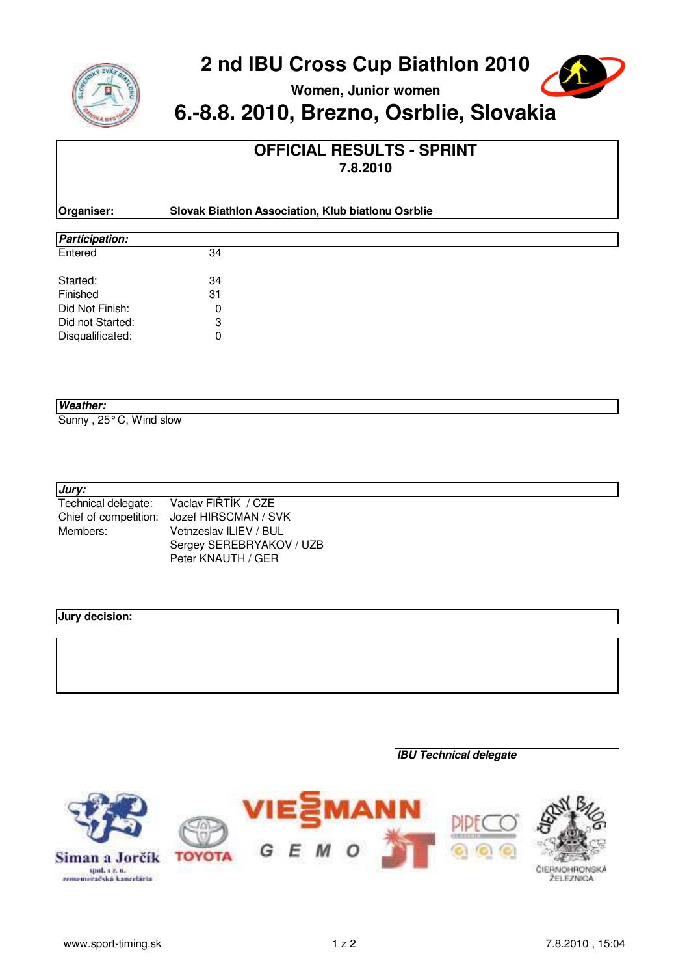

**Women, Junior women**



 $\overline{\phantom{0}}$ 

# **6.-8.8. 2010, Brezno, Osrblie, Slovakia**

### **OFFICIAL RESULTS - SPRINT 7.8.2010**

| Organiser:            | Slovak Biathlon Association, Klub biatlonu Osrblie |  |  |  |  |  |  |  |  |
|-----------------------|----------------------------------------------------|--|--|--|--|--|--|--|--|
|                       |                                                    |  |  |  |  |  |  |  |  |
| <b>Participation:</b> |                                                    |  |  |  |  |  |  |  |  |
| Entered               | 34                                                 |  |  |  |  |  |  |  |  |
| Started:              | 34                                                 |  |  |  |  |  |  |  |  |
| Finished              | 31                                                 |  |  |  |  |  |  |  |  |
| Did Not Finish:       | 0                                                  |  |  |  |  |  |  |  |  |
| Did not Started:      | 3                                                  |  |  |  |  |  |  |  |  |
| Disqualificated:      | 0                                                  |  |  |  |  |  |  |  |  |

#### **Weather:**

Sunny , 25° C, Wind slow

#### **Jury:**

| Technical delegate:   | Vaclav FIŘTÍK / CZE      |
|-----------------------|--------------------------|
| Chief of competition: | Jozef HIRSCMAN / SVK     |
| Members:              | Vetnzeslav ILIEV / BUL   |
|                       | Sergey SEREBRYAKOV / UZB |
|                       | Peter KNAUTH / GER       |

### **Jury decision:**

**IBU Technical delegate**

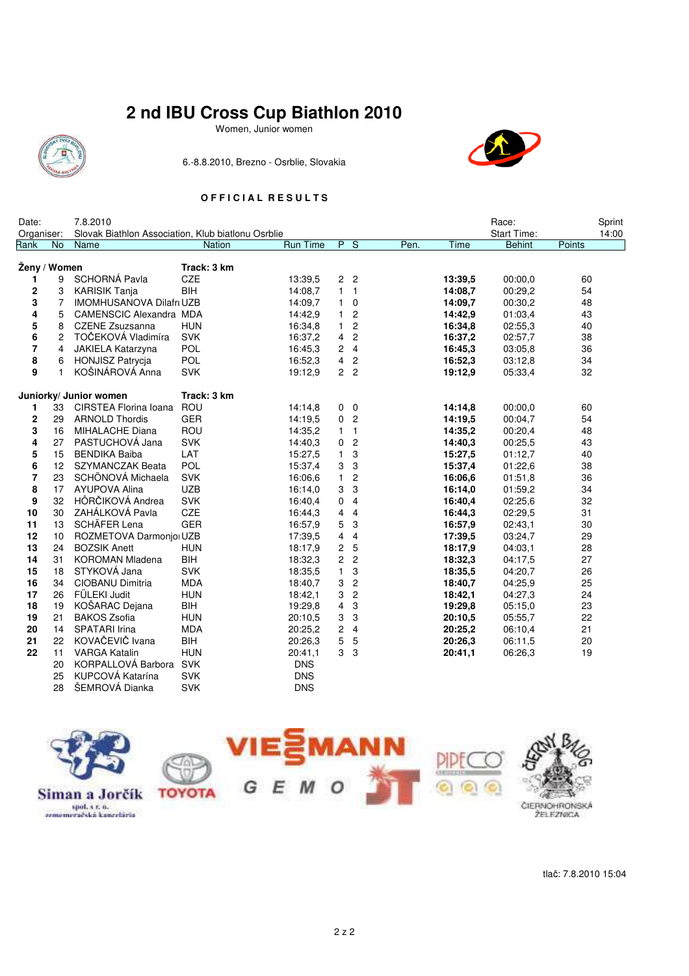Women, Junior women



6.-8.8.2010, Brezno - Osrblie, Slovakia



### **O F F I C I A L R E S U L T S**

| Date:              |                 | 7.8.2010                                                   |               |                 |                |                  |      |         | Race:                        | Sprint          |
|--------------------|-----------------|------------------------------------------------------------|---------------|-----------------|----------------|------------------|------|---------|------------------------------|-----------------|
| Organiser:<br>Rank | No              | Slovak Biathlon Association, Klub biatlonu Osrblie<br>Name | <b>Nation</b> | <b>Run Time</b> |                | P S              | Pen. | Time    | Start Time:<br><b>Behint</b> | 14:00<br>Points |
|                    |                 |                                                            |               |                 |                |                  |      |         |                              |                 |
|                    | Ženy / Women    |                                                            | Track: 3 km   |                 |                |                  |      |         |                              |                 |
| 1                  | 9               | <b>SCHORNÁ Pavla</b>                                       | CZE           | 13:39.5         |                | 2 <sub>2</sub>   |      | 13:39.5 | 00:00,0                      | 60              |
| 2                  | 3               | <b>KARISIK Tanja</b>                                       | <b>BIH</b>    | 14:08,7         | $\mathbf{1}$   | $\overline{1}$   |      | 14:08,7 | 00:29,2                      | 54              |
| 3                  | 7               | <b>IMOMHUSANOVA Dilafri UZB</b>                            |               | 14:09.7         | $\mathbf{1}$   | $\pmb{0}$        |      | 14:09.7 | 00:30,2                      | 48              |
| 4                  | 5               | <b>CAMENSCIC Alexandra MDA</b>                             |               | 14:42,9         | $\mathbf{1}$   | $\overline{2}$   |      | 14:42,9 | 01:03,4                      | 43              |
| 5                  | 8               | <b>CZENE Zsuzsanna</b>                                     | <b>HUN</b>    | 16:34,8         | $\mathbf{1}$   | $\overline{c}$   |      | 16:34,8 | 02:55,3                      | 40              |
| 6                  | $\overline{2}$  | TOČEKOVÁ Vladimíra                                         | <b>SVK</b>    | 16:37,2         | $\overline{4}$ | $\overline{c}$   |      | 16:37,2 | 02:57,7                      | 38              |
| 7                  | 4               | JAKIELA Katarzyna                                          | POL           | 16:45,3         | $\overline{c}$ | $\overline{4}$   |      | 16:45,3 | 03:05,8                      | 36              |
| 8                  | 6               | <b>HONJISZ Patrycia</b>                                    | <b>POL</b>    | 16:52,3         | $\overline{4}$ | $\overline{c}$   |      | 16:52,3 | 03:12,8                      | 34              |
| 9                  | $\mathbf{1}$    | KOŠINÁROVÁ Anna                                            | <b>SVK</b>    | 19:12,9         |                | 2 <sub>2</sub>   |      | 19:12,9 | 05:33,4                      | 32              |
|                    |                 |                                                            | Track: 3 km   |                 |                |                  |      |         |                              |                 |
| 1                  |                 | Juniorky/ Junior women<br>33 CIRSTEA Florina Ioana         | ROU           | 14:14,8         |                | $0\quad 0$       |      | 14:14,8 | 00:00,0                      | 60              |
| 2                  | 29              | <b>ARNOLD Thordis</b>                                      | <b>GER</b>    | 14:19.5         | 0              | $\overline{c}$   |      | 14:19.5 | 00:04.7                      | 54              |
| 3                  | 16              | MIHALACHE Diana                                            | ROU           | 14:35,2         | $\mathbf{1}$   | $\overline{1}$   |      | 14:35,2 | 00:20,4                      | 48              |
| 4                  | 27              | PASTUCHOVÁ Jana                                            | <b>SVK</b>    | 14:40,3         | 0              | $\overline{c}$   |      | 14:40,3 | 00:25.5                      | 43              |
| 5                  | 15              | <b>BENDIKA Baiba</b>                                       | LAT           | 15:27,5         | $\mathbf{1}$   | 3                |      | 15:27,5 | 01:12,7                      | 40              |
| 6                  | 12 <sup>7</sup> | <b>SZYMANCZAK Beata</b>                                    | POL           | 15:37,4         | 3              | 3                |      | 15:37,4 | 01:22,6                      | 38              |
| $\overline{7}$     | 23              | SCHÖNOVÁ Michaela                                          | <b>SVK</b>    | 16:06.6         | 1              | $\boldsymbol{2}$ |      | 16:06.6 | 01:51,8                      | 36              |
| 8                  | 17              | AYUPOVA Alina                                              | <b>UZB</b>    | 16:14,0         | 3              | 3                |      | 16:14,0 | 01:59,2                      | 34              |
| 9                  | 32              | HÔRČIKOVÁ Andrea                                           | <b>SVK</b>    | 16:40,4         | $\mathbf 0$    | $\overline{4}$   |      | 16:40,4 | 02:25,6                      | 32              |
| 10                 | 30              | ZAHÁLKOVÁ Pavla                                            | CZE           | 16:44,3         | 4              | $\overline{4}$   |      | 16:44,3 | 02:29,5                      | 31              |
| 11                 | 13              | SCHÄFER Lena                                               | <b>GER</b>    | 16:57,9         | 5              | 3                |      | 16:57,9 | 02:43,1                      | 30              |
| 12                 | 10              | ROZMETOVA Darmoniol UZB                                    |               | 17:39.5         | 4              | 4                |      | 17:39.5 | 03:24.7                      | 29              |
| 13                 | 24              | <b>BOZSIK Anett</b>                                        | <b>HUN</b>    | 18:17,9         | 2              | 5                |      | 18:17,9 | 04:03,1                      | 28              |
| 14                 | 31              | <b>KOROMAN Mladena</b>                                     | <b>BIH</b>    | 18:32,3         | $\overline{c}$ | $\overline{c}$   |      | 18:32,3 | 04:17,5                      | 27              |
| 15                 | 18              | STYKOVÁ Jana                                               | <b>SVK</b>    | 18:35,5         | $\mathbf{1}$   | 3                |      | 18:35,5 | 04:20,7                      | 26              |
| 16                 | 34              | CIOBANU Dimitria                                           | <b>MDA</b>    | 18:40,7         | 3              | $\overline{c}$   |      | 18:40,7 | 04:25,9                      | 25              |
| 17                 | 26              | FÜLEKI Judit                                               | <b>HUN</b>    | 18:42,1         | 3              | $\overline{2}$   |      | 18:42,1 | 04:27,3                      | 24              |
| 18                 | 19              | KOŠARAC Dejana                                             | BIH           | 19:29,8         | 4              | 3                |      | 19:29,8 | 05:15,0                      | 23              |
| 19                 | 21              | <b>BAKOS Zsofia</b>                                        | <b>HUN</b>    | 20:10,5         | 3              | 3                |      | 20:10,5 | 05:55,7                      | 22              |
| 20                 | 14              | <b>SPATARI</b> Irina                                       | <b>MDA</b>    | 20:25,2         | $\overline{2}$ | $\overline{4}$   |      | 20:25,2 | 06:10,4                      | 21              |
| 21                 | 22              | KOVAČEVIČ Ivana                                            | BIH           | 20:26.3         | 5              | 5                |      | 20:26,3 | 06:11,5                      | 20              |
| 22                 | 11              | <b>VARGA Katalin</b>                                       | <b>HUN</b>    | 20:41,1         |                | 3 <sub>3</sub>   |      | 20:41,1 | 06:26,3                      | 19              |
|                    | 20              | KORPALLOVÁ Barbora                                         | <b>SVK</b>    | <b>DNS</b>      |                |                  |      |         |                              |                 |
|                    | 25              | KUPCOVÁ Katarína                                           | <b>SVK</b>    | <b>DNS</b>      |                |                  |      |         |                              |                 |
|                    | 28              | ŠEMROVÁ Dianka                                             | <b>SVK</b>    | <b>DNS</b>      |                |                  |      |         |                              |                 |



tlač: 7.8.2010 15:04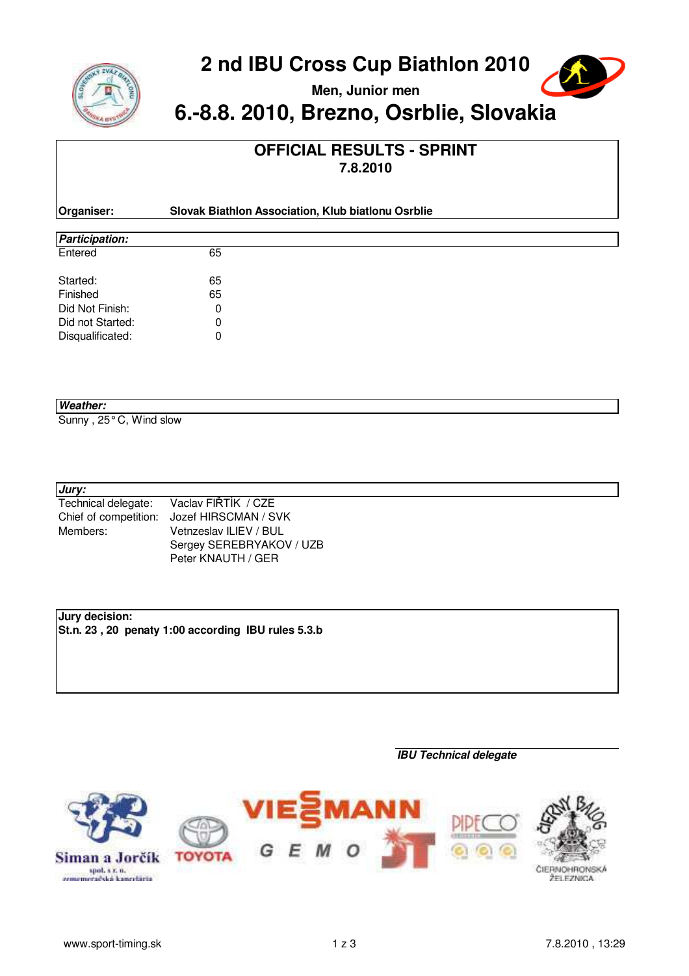

**Men, Junior men**



# **6.-8.8. 2010, Brezno, Osrblie, Slovakia**

### **OFFICIAL RESULTS - SPRINT 7.8.2010**

| Organiser:            | Slovak Biathlon Association, Klub biatlonu Osrblie |  |
|-----------------------|----------------------------------------------------|--|
|                       |                                                    |  |
| <b>Participation:</b> |                                                    |  |
| Entered               | 65                                                 |  |

| Started:         | 65 |
|------------------|----|
| Finished         | 65 |
| Did Not Finish:  |    |
| Did not Started: | O  |
| Disqualificated: |    |

### **Weather:**

Sunny , 25° C, Wind slow

### **Jury:**

| Technical delegate:   | Vaclav FIŘTÍK / CZE      |
|-----------------------|--------------------------|
| Chief of competition: | Jozef HIRSCMAN / SVK     |
| Members:              | Vetnzeslav ILIEV / BUL   |
|                       | Sergey SEREBRYAKOV / UZB |
|                       | Peter KNAUTH / GER       |

### **Jury decision:**

**St.n. 23 , 20 penaty 1:00 according IBU rules 5.3.b**

### **IBU Technical delegate**

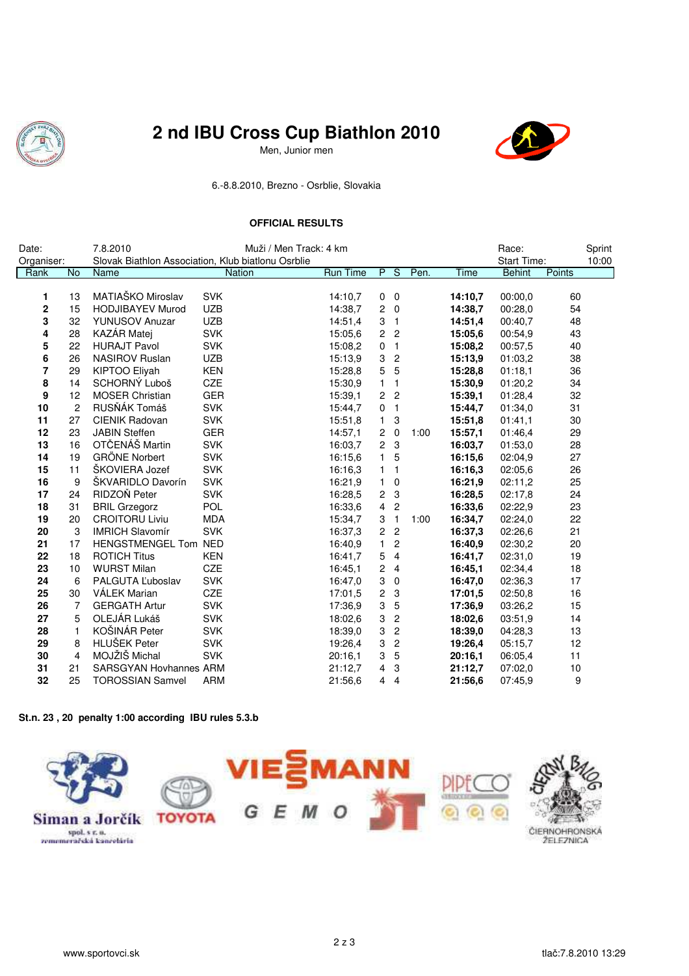

Men, Junior men



6.-8.8.2010, Brezno - Osrblie, Slovakia

### **OFFICIAL RESULTS**

| Date:          |                | 7.8.2010                      | Muži / Men Track: 4 km                             |                 |                         |                           |      |         | Race:              |        | Sprint |
|----------------|----------------|-------------------------------|----------------------------------------------------|-----------------|-------------------------|---------------------------|------|---------|--------------------|--------|--------|
| Organiser:     |                |                               | Slovak Biathlon Association, Klub biatlonu Osrblie |                 |                         |                           |      |         | <b>Start Time:</b> |        | 10:00  |
| Rank           | <b>No</b>      | Name                          | Nation                                             | <b>Run Time</b> | P S                     |                           | Pen. | Time    | <b>Behint</b>      | Points |        |
|                |                |                               |                                                    |                 |                         |                           |      |         |                    |        |        |
| 1              | 13             | MATIAŠKO Miroslav             | <b>SVK</b>                                         | 14:10.7         | $\mathbf 0$             | $\mathbf 0$               |      | 14:10.7 | 00:00,0            | 60     |        |
| $\mathbf 2$    | 15             | <b>HODJIBAYEV Murod</b>       | <b>UZB</b>                                         | 14:38,7         | 2                       | $\pmb{0}$                 |      | 14:38,7 | 00:28,0            | 54     |        |
| 3              | 32             | <b>YUNUSOV Anuzar</b>         | <b>UZB</b>                                         | 14:51,4         | 3                       | $\mathbf{1}$              |      | 14:51,4 | 00:40,7            | 48     |        |
| 4              | 28             | <b>KAZÁR Matej</b>            | <b>SVK</b>                                         | 15:05.6         | $\overline{\mathbf{c}}$ | $\overline{\mathbf{c}}$   |      | 15:05.6 | 00:54,9            | 43     |        |
| 5              | 22             | <b>HURAJT Pavol</b>           | <b>SVK</b>                                         | 15:08,2         | 0                       | $\mathbf{1}$              |      | 15:08,2 | 00:57,5            | 40     |        |
| 6              | 26             | <b>NASIROV Ruslan</b>         | <b>UZB</b>                                         | 15:13,9         | 3                       | $\boldsymbol{2}$          |      | 15:13,9 | 01:03,2            | 38     |        |
| $\overline{7}$ | 29             | KIPTOO Eliyah                 | <b>KEN</b>                                         | 15:28,8         | 5                       | 5                         |      | 15:28,8 | 01:18,1            | 36     |        |
| 8              | 14             | SCHORNÝ Luboš                 | CZE                                                | 15:30,9         | $\mathbf{1}$            | 1                         |      | 15:30,9 | 01:20,2            | 34     |        |
| 9              | 12             | <b>MOSER Christian</b>        | <b>GER</b>                                         | 15:39.1         | 2                       | $\overline{c}$            |      | 15:39.1 | 01:28.4            | 32     |        |
| 10             | 2              | RUSŇÁK Tomáš                  | <b>SVK</b>                                         | 15:44,7         | 0                       | $\mathbf{1}$              |      | 15:44,7 | 01:34,0            | 31     |        |
| 11             | 27             | CIENIK Radovan                | <b>SVK</b>                                         | 15:51,8         | 1                       | 3                         |      | 15:51,8 | 01:41,1            | 30     |        |
| 12             | 23             | <b>JABIN Steffen</b>          | <b>GER</b>                                         | 14:57.1         | 2                       | $\mathbf 0$               | 1:00 | 15:57,1 | 01:46.4            | 29     |        |
| 13             | 16             | OTČENÁŠ Martin                | <b>SVK</b>                                         | 16:03.7         | $\overline{c}$          | 3                         |      | 16:03.7 | 01:53,0            | 28     |        |
| 14             | 19             | <b>GRÖNE Norbert</b>          | <b>SVK</b>                                         | 16:15.6         | 1                       | 5                         |      | 16:15.6 | 02:04,9            | 27     |        |
| 15             | 11             | ŠKOVIERA Jozef                | <b>SVK</b>                                         | 16:16,3         | 1                       | 1                         |      | 16:16,3 | 02:05,6            | 26     |        |
| 16             | 9              | ŠKVARIDLO Davorín             | <b>SVK</b>                                         | 16:21,9         | 1                       | 0                         |      | 16:21,9 | 02:11,2            | 25     |        |
| 17             | 24             | RIDZOŇ Peter                  | <b>SVK</b>                                         | 16:28,5         | $\overline{\mathbf{c}}$ | 3                         |      | 16:28,5 | 02:17,8            | 24     |        |
| 18             | 31             | <b>BRIL Grzegorz</b>          | <b>POL</b>                                         | 16:33,6         | 4                       | $\boldsymbol{2}$          |      | 16:33,6 | 02:22,9            | 23     |        |
| 19             | 20             | <b>CROITORU Liviu</b>         | <b>MDA</b>                                         | 15:34,7         | 3                       | $\mathbf{1}$              | 1:00 | 16:34,7 | 02:24,0            | 22     |        |
| 20             | 3              | <b>IMRICH Slavomír</b>        | <b>SVK</b>                                         | 16:37,3         | $\overline{c}$          | $\boldsymbol{2}$          |      | 16:37,3 | 02:26,6            | 21     |        |
| 21             | 17             | HENGSTMENGEL Tom NED          |                                                    | 16:40,9         | $\mathbf{1}$            | $\boldsymbol{2}$          |      | 16:40,9 | 02:30,2            | 20     |        |
| 22             | 18             | <b>ROTICH Titus</b>           | <b>KEN</b>                                         | 16:41,7         | 5                       | $\overline{\mathbf{4}}$   |      | 16:41,7 | 02:31,0            | 19     |        |
| 23             | 10             | <b>WURST Milan</b>            | CZE                                                | 16:45.1         | $\overline{c}$          | $\overline{4}$            |      | 16:45.1 | 02:34,4            | 18     |        |
| 24             | 6              | PALGUTA Luboslav              | <b>SVK</b>                                         | 16:47,0         | 3                       | $\mathbf 0$               |      | 16:47.0 | 02:36.3            | 17     |        |
| 25             | 30             | VÁLEK Marian                  | CZE                                                | 17:01,5         | 2                       | $\ensuremath{\mathsf{3}}$ |      | 17:01,5 | 02:50,8            | 16     |        |
| 26             | $\overline{7}$ | <b>GERGATH Artur</b>          | <b>SVK</b>                                         | 17:36.9         | 3                       | $\mathbf 5$               |      | 17:36,9 | 03:26,2            | 15     |        |
| 27             | 5              | OLEJÁR Lukáš                  | <b>SVK</b>                                         | 18:02,6         | 3                       | $\boldsymbol{2}$          |      | 18:02,6 | 03:51,9            | 14     |        |
| 28             | $\mathbf{1}$   | KOŠINÁR Peter                 | <b>SVK</b>                                         | 18:39,0         | 3                       | $\boldsymbol{2}$          |      | 18:39,0 | 04:28,3            | 13     |        |
| 29             | 8              | HLUŠEK Peter                  | <b>SVK</b>                                         | 19:26,4         | 3                       | $\boldsymbol{2}$          |      | 19:26,4 | 05:15,7            | 12     |        |
| 30             | $\overline{4}$ | MOJŽIŠ Michal                 | <b>SVK</b>                                         | 20:16,1         | 3                       | 5                         |      | 20:16,1 | 06:05,4            | 11     |        |
| 31             | 21             | <b>SARSGYAN Hovhannes ARM</b> |                                                    | 21:12,7         | 4                       | 3                         |      | 21:12,7 | 07:02,0            | $10$   |        |
| 32             | 25             | <b>TOROSSIAN Samvel</b>       | <b>ARM</b>                                         | 21:56.6         | 4                       | $\overline{\mathbf{4}}$   |      | 21:56.6 | 07:45.9            | 9      |        |

#### **St.n. 23 , 20 penalty 1:00 according IBU rules 5.3.b**

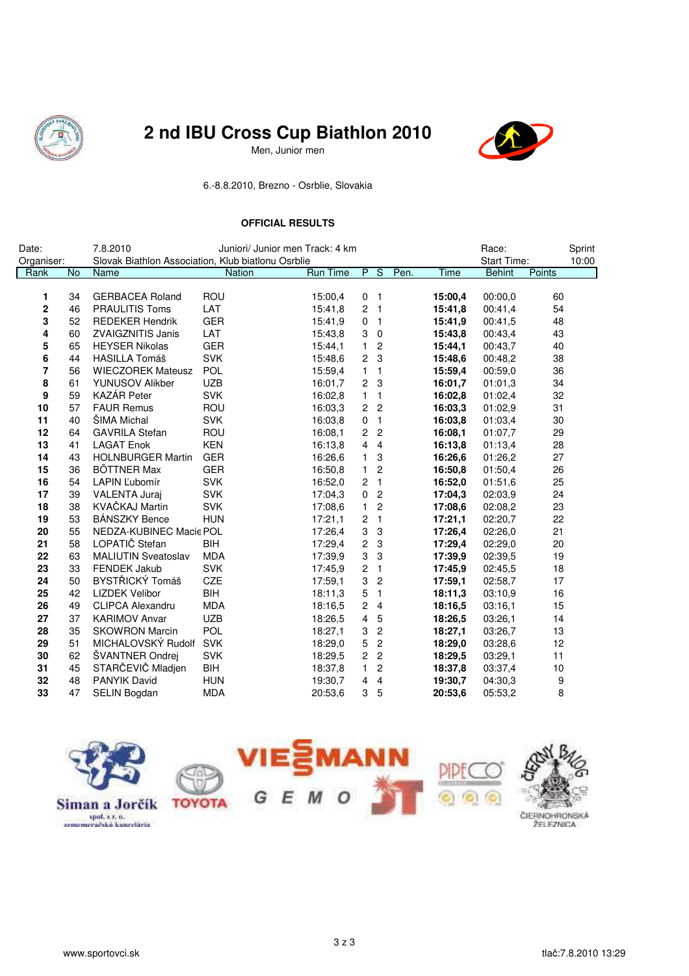

## *《食***》 2 nd IBU Cross Cup Biathlon 2010**

**Jesus Men, Junior men** 



6.-8.8.2010, Brezno - Osrblie, Slovakia

### **OFFICIAL RESULTS**

| Date:       |    | 7.8.2010<br>Juniori/ Junior men Track: 4 km        |               |                 |                         |                         |      |             | Race:              |        | Sprint |
|-------------|----|----------------------------------------------------|---------------|-----------------|-------------------------|-------------------------|------|-------------|--------------------|--------|--------|
| Organiser:  |    | Slovak Biathlon Association, Klub biatlonu Osrblie |               |                 |                         |                         |      |             | <b>Start Time:</b> |        | 10:00  |
| Rank        | No | Name                                               | <b>Nation</b> | <b>Run Time</b> |                         | P S                     | Pen. | <b>Time</b> | <b>Behint</b>      | Points |        |
|             |    |                                                    |               |                 |                         |                         |      |             |                    |        |        |
| 1           | 34 | <b>GERBACEA Roland</b>                             | ROU           | 15:00,4         | 0                       | $\overline{1}$          |      | 15:00,4     | 00:00,0            | 60     |        |
| $\mathbf 2$ | 46 | <b>PRAULITIS Toms</b>                              | LAT           | 15:41,8         | $\overline{c}$          | $\overline{1}$          |      | 15:41,8     | 00:41,4            | 54     |        |
| 3           | 52 | <b>REDEKER Hendrik</b>                             | <b>GER</b>    | 15:41,9         | 0                       | $\overline{1}$          |      | 15:41,9     | 00:41,5            | 48     |        |
| 4           | 60 | <b>ZVAIGZNITIS Janis</b>                           | LAT           | 15:43,8         | 3                       | $\mathbf 0$             |      | 15:43,8     | 00:43,4            | 43     |        |
| 5           | 65 | <b>HEYSER Nikolas</b>                              | <b>GER</b>    | 15:44,1         | $\mathbf{1}$            | $\sqrt{2}$              |      | 15:44,1     | 00:43,7            | 40     |        |
| 6           | 44 | <b>HASILLA Tomáš</b>                               | <b>SVK</b>    | 15:48,6         | $\overline{c}$          | $\mathbf{3}$            |      | 15:48,6     | 00:48,2            | 38     |        |
| 7           | 56 | <b>WIECZOREK Mateusz</b>                           | POL           | 15:59,4         | $\mathbf{1}$            | $\overline{1}$          |      | 15:59,4     | 00:59,0            | 36     |        |
| 8           | 61 | <b>YUNUSOV Alikber</b>                             | <b>UZB</b>    | 16:01,7         | $\overline{c}$          | 3                       |      | 16:01,7     | 01:01,3            | 34     |        |
| 9           | 59 | <b>KAZÁR Peter</b>                                 | <b>SVK</b>    | 16:02,8         | $\mathbf{1}$            | $\overline{\mathbf{1}}$ |      | 16:02,8     | 01:02,4            | 32     |        |
| 10          | 57 | <b>FAUR Remus</b>                                  | ROU           | 16:03,3         | $\overline{2}$          | $\overline{2}$          |      | 16:03,3     | 01:02,9            | 31     |        |
| 11          | 40 | <b>SIMA Michal</b>                                 | <b>SVK</b>    | 16:03,8         | 0                       | $\overline{1}$          |      | 16:03,8     | 01:03,4            | 30     |        |
| 12          | 64 | <b>GAVRILA Stefan</b>                              | ROU           | 16:08,1         | $2^{\circ}$             | $\overline{c}$          |      | 16:08,1     | 01:07,7            | 29     |        |
| 13          | 41 | <b>LAGAT Enok</b>                                  | <b>KEN</b>    | 16:13,8         | 4                       | 4                       |      | 16:13,8     | 01:13,4            | 28     |        |
| 14          | 43 | <b>HOLNBURGER Martin</b>                           | <b>GER</b>    | 16:26,6         | 1                       | 3                       |      | 16:26,6     | 01:26,2            | 27     |        |
| 15          | 36 | <b>BÖTTNER Max</b>                                 | <b>GER</b>    | 16:50,8         | 1                       | $\sqrt{2}$              |      | 16:50,8     | 01:50,4            | 26     |        |
| 16          | 54 | LAPIN L'ubomír                                     | <b>SVK</b>    | 16:52,0         | $\overline{c}$          | $\overline{1}$          |      | 16:52,0     | 01:51,6            | 25     |        |
| 17          | 39 | <b>VALENTA Juraj</b>                               | <b>SVK</b>    | 17:04,3         | 0                       | $\overline{c}$          |      | 17:04.3     | 02:03.9            | 24     |        |
| 18          | 38 | KVAČKAJ Martin                                     | <b>SVK</b>    | 17:08.6         | $\mathbf{1}$            | $\mathbf{2}$            |      | 17:08.6     | 02:08.2            | 23     |        |
| 19          | 53 | <b>BÁNSZKY Bence</b>                               | <b>HUN</b>    | 17:21,1         | $\overline{c}$          | $\overline{1}$          |      | 17:21,1     | 02:20,7            | 22     |        |
| 20          | 55 | NEDZA-KUBINEC Macie POL                            |               | 17:26,4         | 3                       | $\sqrt{3}$              |      | 17:26,4     | 02:26.0            | 21     |        |
| 21          | 58 | LOPATIČ Stefan                                     | <b>BIH</b>    | 17:29,4         | $\overline{\mathbf{c}}$ | $\sqrt{3}$              |      | 17:29,4     | 02:29.0            | 20     |        |
| 22          | 63 | <b>MALIUTIN Sveatoslav</b>                         | <b>MDA</b>    | 17:39.9         | 3                       | 3                       |      | 17:39.9     | 02:39,5            | 19     |        |
| 23          | 33 | <b>FENDEK Jakub</b>                                | <b>SVK</b>    | 17:45.9         | $\sqrt{2}$              | $\overline{1}$          |      | 17:45,9     | 02:45.5            | 18     |        |
| 24          | 50 | BYSTŘICKÝ Tomáš                                    | CZE           | 17:59,1         | 3                       | $\boldsymbol{2}$        |      | 17:59,1     | 02:58,7            | 17     |        |
| 25          | 42 | <b>LIZDEK Velibor</b>                              | BIH           | 18:11,3         | 5                       | $\overline{1}$          |      | 18:11,3     | 03:10,9            | 16     |        |
| 26          | 49 | <b>CLIPCA Alexandru</b>                            | <b>MDA</b>    | 18:16,5         | 2                       | $\overline{4}$          |      | 18:16,5     | 03:16,1            | 15     |        |
| 27          | 37 | <b>KARIMOV Anvar</b>                               | <b>UZB</b>    | 18:26,5         | 4                       | 5                       |      | 18:26,5     | 03:26,1            | 14     |        |
| 28          | 35 | <b>SKOWRON Marcin</b>                              | POL           | 18:27,1         | 3                       | $\sqrt{2}$              |      | 18:27,1     | 03:26,7            | 13     |        |
| 29          | 51 | MICHALOVSKÝ Rudolf                                 | <b>SVK</b>    | 18:29,0         | $\mathbf 5$             | $\sqrt{2}$              |      | 18:29,0     | 03:28,6            | 12     |        |
| 30          | 62 | ŠVANTNER Ondrej                                    | <b>SVK</b>    | 18:29,5         | $\mathbf{2}$            | $\overline{c}$          |      | 18:29,5     | 03:29,1            | 11     |        |
| 31          | 45 | STARČEVIČ Mladjen                                  | BIH           | 18:37,8         | $\mathbf{1}$            | $\overline{c}$          |      | 18:37,8     | 03:37,4            | 10     |        |
| 32          | 48 | <b>PANYIK David</b>                                | <b>HUN</b>    | 19:30,7         | 4                       | 4                       |      | 19:30,7     | 04:30,3            | 9      |        |
| 33          | 47 | <b>SELIN Bogdan</b>                                | <b>MDA</b>    | 20:53.6         | 3                       | 5                       |      | 20:53,6     | 05:53,2            | 8      |        |

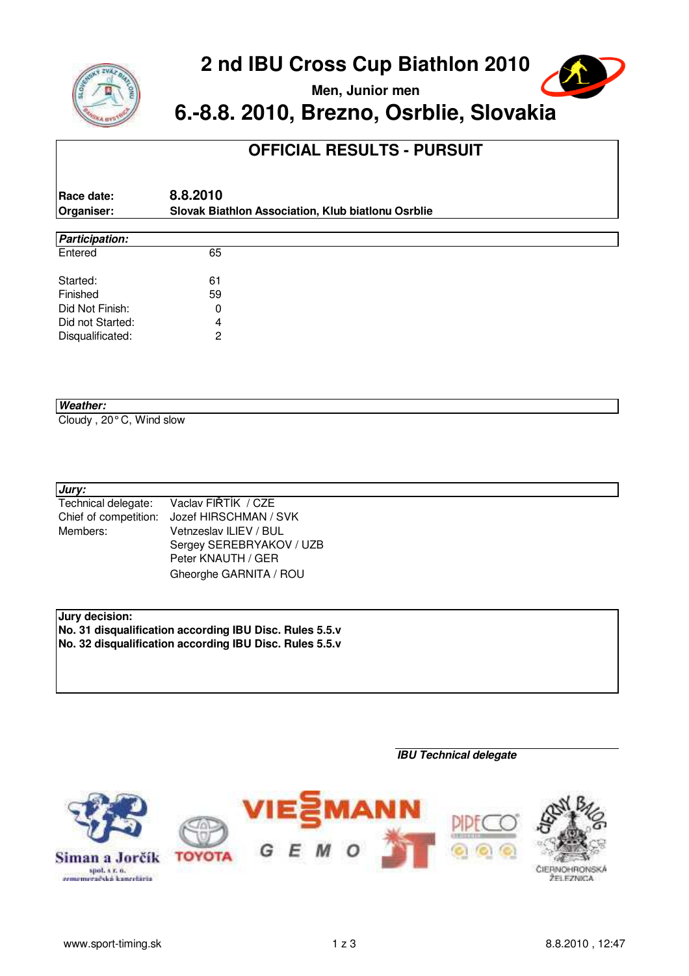



**Men, Junior men**

# **6.-8.8. 2010, Brezno, Osrblie, Slovakia**

## **OFFICIAL RESULTS - PURSUIT**

| Race date: | 8.8.2010                                           |
|------------|----------------------------------------------------|
| Organiser: | Slovak Biathlon Association, Klub biatlonu Osrblie |

| <b>Participation:</b> |    |  |  |
|-----------------------|----|--|--|
| Entered               | 65 |  |  |
| Started:              | 61 |  |  |
| Finished              | 59 |  |  |
| Did Not Finish:       | 0  |  |  |
| Did not Started:      | 4  |  |  |
| Disqualificated:      | 2  |  |  |
|                       |    |  |  |

#### **Weather:**

Cloudy , 20° C, Wind slow

### **Jury:**

| Technical delegate:   | Vaclav FIŘTÍK / CZE      |  |  |  |  |  |
|-----------------------|--------------------------|--|--|--|--|--|
| Chief of competition: | Jozef HIRSCHMAN / SVK    |  |  |  |  |  |
| Members:              | Vetnzeslav ILIEV / BUL   |  |  |  |  |  |
|                       | Sergey SEREBRYAKOV / UZB |  |  |  |  |  |
|                       | Peter KNAUTH / GER       |  |  |  |  |  |
|                       | Gheorghe GARNITA / ROU   |  |  |  |  |  |

### **Jury decision:**

**No. 31 disqualification according IBU Disc. Rules 5.5.v No. 32 disqualification according IBU Disc. Rules 5.5.v**

#### **IBU Technical delegate**

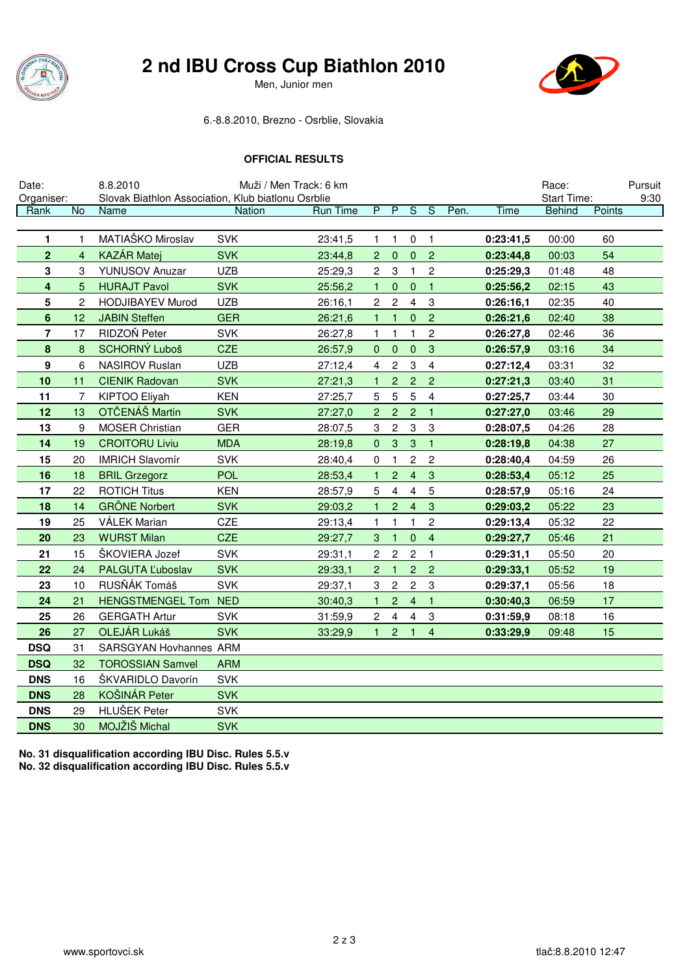

Men, Junior men



### 6.-8.8.2010, Brezno - Osrblie, Slovakia

#### **OFFICIAL RESULTS**

| Date:          |                | 8.8.2010                                           | Muži / Men Track: 6 km |                 |                |                  |                          |                           |      |           | Race:         |        | Pursuit |
|----------------|----------------|----------------------------------------------------|------------------------|-----------------|----------------|------------------|--------------------------|---------------------------|------|-----------|---------------|--------|---------|
| Organiser:     |                | Slovak Biathlon Association, Klub biatlonu Osrblie |                        |                 |                |                  |                          |                           |      |           | Start Time:   |        | 9:30    |
| Rank           | <b>No</b>      | Name                                               | <b>Nation</b>          | <b>Run Time</b> | $\overline{P}$ | $\overline{P}$   | $\overline{\mathcal{S}}$ | ड                         | Pen. | Time      | <b>Behind</b> | Points |         |
| 1              |                | MATIAŠKO Miroslav                                  | <b>SVK</b>             | 23:41,5         | $\mathbf{1}$   | 1                | $\mathbf 0$              | $\overline{1}$            |      | 0:23:41,5 | 00:00         | 60     |         |
| $\overline{2}$ | 4              | <b>KAZÁR Matej</b>                                 | <b>SVK</b>             | 23:44,8         | $\overline{2}$ | $\mathbf 0$      | $\pmb{0}$                | $\overline{2}$            |      | 0:23:44,8 | 00:03         | 54     |         |
| 3              | 3              | <b>YUNUSOV Anuzar</b>                              | <b>UZB</b>             | 25:29,3         | $\overline{c}$ | 3                | 1                        | $\overline{c}$            |      | 0:25:29,3 | 01:48         | 48     |         |
| 4              | 5              | <b>HURAJT Pavol</b>                                | <b>SVK</b>             | 25:56,2         | 1              | $\mathbf{0}$     | $\pmb{0}$                | $\mathbf{1}$              |      | 0:25:56,2 | 02:15         | 43     |         |
| 5              | $\overline{c}$ | <b>HODJIBAYEV Murod</b>                            | <b>UZB</b>             | 26:16,1         | $\overline{c}$ | $\overline{c}$   | $\overline{4}$           | $\ensuremath{\mathsf{3}}$ |      | 0:26:16,1 | 02:35         | 40     |         |
| 6              | 12             | <b>JABIN Steffen</b>                               | <b>GER</b>             | 26:21,6         | 1              | $\mathbf{1}$     | $\pmb{0}$                | $\overline{c}$            |      | 0:26:21,6 | 02:40         | 38     |         |
| 7              | 17             | RIDZOŇ Peter                                       | <b>SVK</b>             | 26:27,8         | $\mathbf{1}$   | 1                | 1                        | $\overline{c}$            |      | 0:26:27,8 | 02:46         | 36     |         |
| $\pmb{8}$      | 8              | SCHORNÝ Luboš                                      | <b>CZE</b>             | 26:57,9         | $\pmb{0}$      | $\pmb{0}$        | $\pmb{0}$                | $\mathbf{3}$              |      | 0:26:57,9 | 03:16         | 34     |         |
| 9              | 6              | NASIROV Ruslan                                     | <b>UZB</b>             | 27:12,4         | 4              | 2                | 3                        | $\overline{4}$            |      | 0:27:12,4 | 03:31         | 32     |         |
| 10             | 11             | <b>CIENIK Radovan</b>                              | <b>SVK</b>             | 27:21,3         | 1              | $\overline{c}$   | $\overline{c}$           | $\overline{2}$            |      | 0:27:21,3 | 03:40         | 31     |         |
| 11             | 7              | KIPTOO Eliyah                                      | <b>KEN</b>             | 27:25,7         | 5              | 5                | 5                        | $\overline{\mathbf{4}}$   |      | 0:27:25,7 | 03:44         | 30     |         |
| 12             | 13             | OTČENÁŠ Martin                                     | <b>SVK</b>             | 27:27,0         | $\overline{c}$ | $\overline{c}$   | $\overline{c}$           | $\mathbf{1}$              |      | 0:27:27,0 | 03:46         | 29     |         |
| 13             | 9              | <b>MOSER Christian</b>                             | <b>GER</b>             | 28:07,5         | 3              | $\overline{c}$   | 3                        | $\ensuremath{\mathsf{3}}$ |      | 0:28:07,5 | 04:26         | 28     |         |
| 14             | 19             | <b>CROITORU Liviu</b>                              | <b>MDA</b>             | 28:19,8         | $\mathbf{0}$   | 3                | 3                        | $\mathbf{1}$              |      | 0:28:19,8 | 04:38         | 27     |         |
| 15             | 20             | <b>IMRICH Slavomír</b>                             | <b>SVK</b>             | 28:40,4         | 0              | $\mathbf{1}$     | $\overline{c}$           | $\overline{c}$            |      | 0:28:40,4 | 04:59         | 26     |         |
| 16             | 18             | <b>BRIL Grzegorz</b>                               | <b>POL</b>             | 28:53,4         |                | $\overline{c}$   | $\overline{4}$           | 3                         |      | 0:28:53,4 | 05:12         | 25     |         |
| 17             | 22             | <b>ROTICH Titus</b>                                | <b>KEN</b>             | 28:57,9         | 5              | 4                | $\overline{4}$           | 5                         |      | 0:28:57,9 | 05:16         | 24     |         |
| 18             | 14             | <b>GRÖNE Norbert</b>                               | <b>SVK</b>             | 29:03,2         | 1              | $\overline{c}$   | $\overline{4}$           | 3                         |      | 0:29:03,2 | 05:22         | 23     |         |
| 19             | 25             | <b>VÁLEK Marian</b>                                | CZE                    | 29:13,4         | $\mathbf{1}$   | 1                | $\mathbf{1}$             | $\sqrt{2}$                |      | 0:29:13,4 | 05:32         | 22     |         |
| 20             | 23             | <b>WURST Milan</b>                                 | <b>CZE</b>             | 29:27,7         | 3              | $\mathbf{1}$     | $\pmb{0}$                | $\overline{4}$            |      | 0:29:27,7 | 05:46         | 21     |         |
| 21             | 15             | ŠKOVIERA Jozef                                     | <b>SVK</b>             | 29:31,1         | $\overline{c}$ | $\boldsymbol{2}$ | $\overline{c}$           | $\mathbf{1}$              |      | 0:29:31,1 | 05:50         | 20     |         |
| 22             | 24             | PALGUTA L'uboslav                                  | <b>SVK</b>             | 29:33,1         | $\overline{2}$ | $\mathbf{1}$     | $\overline{c}$           | $\overline{c}$            |      | 0:29:33,1 | 05:52         | 19     |         |
| 23             | 10             | RUSŇÁK Tomáš                                       | <b>SVK</b>             | 29:37,1         | 3              | $\mathbf{2}$     | $\mathbf{2}$             | $\mathbf{3}$              |      | 0:29:37,1 | 05:56         | 18     |         |
| 24             | 21             | HENGSTMENGEL Tom NED                               |                        | 30:40,3         |                | $\overline{c}$   | $\overline{4}$           | $\mathbf{1}$              |      | 0:30:40,3 | 06:59         | 17     |         |
| 25             | 26             | <b>GERGATH Artur</b>                               | <b>SVK</b>             | 31:59,9         | 2              | $\overline{4}$   | $\overline{\mathbf{4}}$  | 3                         |      | 0:31:59,9 | 08:18         | 16     |         |
| 26             | 27             | OLEJÁR Lukáš                                       | <b>SVK</b>             | 33:29,9         | 1.             | $\overline{2}$   | $\mathbf{1}$             | $\overline{4}$            |      | 0:33:29,9 | 09:48         | 15     |         |
| <b>DSQ</b>     | 31             | SARSGYAN Hovhannes ARM                             |                        |                 |                |                  |                          |                           |      |           |               |        |         |
| <b>DSQ</b>     | 32             | <b>TOROSSIAN Samvel</b>                            | <b>ARM</b>             |                 |                |                  |                          |                           |      |           |               |        |         |
| <b>DNS</b>     | 16             | ŠKVARIDLO Davorín                                  | <b>SVK</b>             |                 |                |                  |                          |                           |      |           |               |        |         |
| <b>DNS</b>     | 28             | KOŠINÁR Peter                                      | <b>SVK</b>             |                 |                |                  |                          |                           |      |           |               |        |         |
| <b>DNS</b>     | 29             | HLUŠEK Peter                                       | <b>SVK</b>             |                 |                |                  |                          |                           |      |           |               |        |         |
| <b>DNS</b>     | 30             | MOJŽIŠ Michal                                      | <b>SVK</b>             |                 |                |                  |                          |                           |      |           |               |        |         |

**No. 31 disqualification according IBU Disc. Rules 5.5.v No. 32 disqualification according IBU Disc. Rules 5.5.v**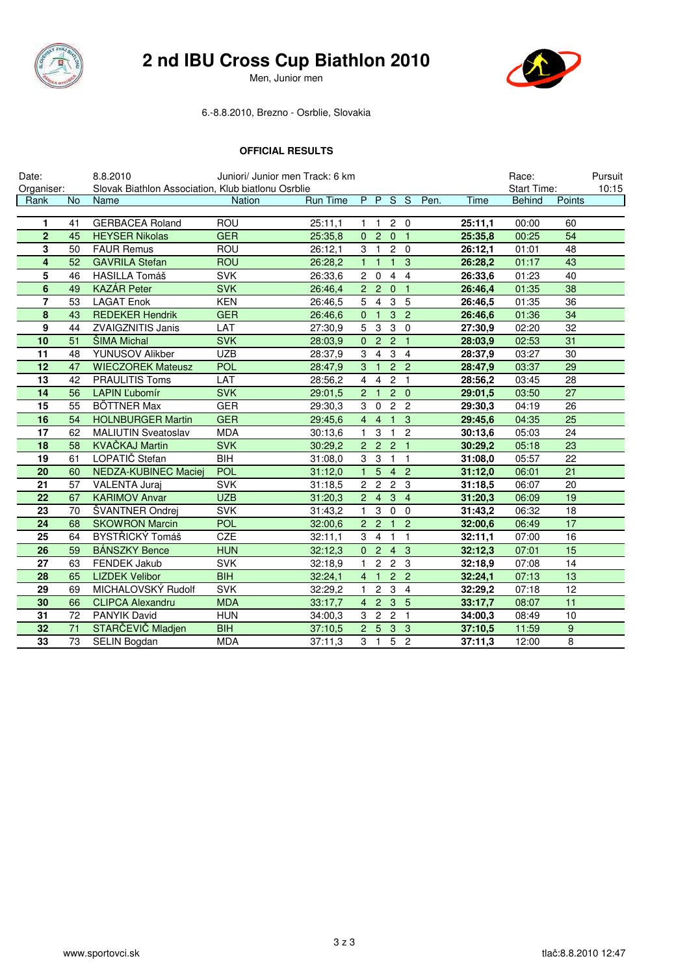

### *《食***》 2 nd IBU Cross Cup Biathlon 2010**

**Jesus Men, Junior men** 



#### 6.-8.8.2010, Brezno - Osrblie, Slovakia

#### **OFFICIAL RESULTS**

| Date:          |           | 8.8.2010                                           |               | Juniori/ Junior men Track: 6 km |                |                 |                |                |      |         | Race:         |                 | Pursuit |
|----------------|-----------|----------------------------------------------------|---------------|---------------------------------|----------------|-----------------|----------------|----------------|------|---------|---------------|-----------------|---------|
| Organiser:     |           | Slovak Biathlon Association, Klub biatlonu Osrblie |               |                                 |                |                 |                |                |      |         | Start Time:   |                 | 10:15   |
| Rank           | <b>No</b> | Name                                               | <b>Nation</b> | <b>Run Time</b>                 |                |                 | PPSS           |                | Pen. | Time    | <b>Behind</b> | Points          |         |
| 1              | 41        | <b>GERBACEA Roland</b>                             | <b>ROU</b>    | 25:11,1                         | 1              | -1              |                | $2\quad 0$     |      | 25:11.1 | 00:00         | 60              |         |
| $\mathbf{2}$   | 45        | <b>HEYSER Nikolas</b>                              | <b>GER</b>    | 25:35,8                         |                | 0 <sub>2</sub>  | $\overline{0}$ | $\overline{1}$ |      | 25:35,8 | 00:25         | 54              |         |
| 3              | 50        | <b>FAUR Remus</b>                                  | <b>ROU</b>    | 26:12.1                         | 3              | $\overline{1}$  |                | $2\quad 0$     |      | 26:12,1 | 01:01         | 48              |         |
| 4              | 52        | <b>GAVRILA Stefan</b>                              | <b>ROU</b>    | 26:28,2                         | $\mathbf{1}$   | $\overline{1}$  | $\mathbf{1}$   | 3              |      | 26:28,2 | 01:17         | 43              |         |
| 5              | 46        | <b>HASILLA Tomáš</b>                               | <b>SVK</b>    | 26:33,6                         | 2 <sup>1</sup> | $\mathbf 0$     | $\overline{4}$ | $\overline{4}$ |      | 26:33,6 | 01:23         | 40              |         |
| $\bf 6$        | 49        | <b>KAZÁR Peter</b>                                 | <b>SVK</b>    | 26:46,4                         |                | 2 <sub>2</sub>  | $\mathbf{0}$   | $\overline{1}$ |      | 26:46,4 | 01:35         | 38              |         |
| $\overline{7}$ | 53        | LAGAT Enok                                         | <b>KEN</b>    | 26:46.5                         | 5              | $\overline{4}$  | 3              | 5              |      | 26:46,5 | 01:35         | 36              |         |
| 8              | 43        | <b>REDEKER Hendrik</b>                             | <b>GER</b>    | 26:46.6                         | $\mathbf{0}$   | $\overline{1}$  | 3              | $\overline{2}$ |      | 26:46,6 | 01:36         | 34              |         |
| 9              | 44        | <b>ZVAIGZNITIS Janis</b>                           | LAT           | 27:30,9                         | 5              | $\overline{3}$  | $\overline{3}$ | $\overline{0}$ |      | 27:30,9 | 02:20         | 32              |         |
| 10             | 51        | <b>ŠIMA Michal</b>                                 | <b>SVK</b>    | 28:03,9                         | $\mathbf{0}$   | $\overline{2}$  | 2 <sub>1</sub> |                |      | 28:03,9 | 02:53         | 31              |         |
| 11             | 48        | YUNUSOV Alikber                                    | <b>UZB</b>    | 28:37,9                         | 3              | $\overline{4}$  |                | 3 <sub>4</sub> |      | 28:37,9 | 03:27         | 30              |         |
| 12             | 47        | <b>WIECZOREK Mateusz</b>                           | POL           | 28:47,9                         | 3              | $\overline{1}$  |                | 2 <sub>2</sub> |      | 28:47,9 | 03:37         | 29              |         |
| 13             | 42        | <b>PRAULITIS Toms</b>                              | LAT           | 28:56,2                         | 4              | 4               | $\overline{c}$ | $\overline{1}$ |      | 28:56,2 | 03:45         | 28              |         |
| 14             | 56        | <b>LAPIN L'ubomír</b>                              | <b>SVK</b>    | 29:01,5                         | $\overline{2}$ | $\overline{1}$  |                | $2\quad 0$     |      | 29:01,5 | 03:50         | 27              |         |
| 15             | 55        | <b>BÖTTNER Max</b>                                 | <b>GER</b>    | 29:30,3                         | 3              | $\mathbf 0$     | $\overline{c}$ | $\overline{2}$ |      | 29:30,3 | 04:19         | 26              |         |
| 16             | 54        | <b>HOLNBURGER Martin</b>                           | <b>GER</b>    | 29:45,6                         | $\overline{4}$ | $\overline{4}$  | $\mathbf{1}$   | $\mathbf{3}$   |      | 29:45,6 | 04:35         | 25              |         |
| 17             | 62        | <b>MALIUTIN Sveatoslav</b>                         | <b>MDA</b>    | 30:13,6                         | 1              | 3               | $\mathbf{1}$   | $\sqrt{2}$     |      | 30:13,6 | 05:03         | 24              |         |
| 18             | 58        | <b>KVAČKAJ Martin</b>                              | <b>SVK</b>    | 30:29,2                         |                | 2 <sub>2</sub>  | $\overline{2}$ | $\overline{1}$ |      | 30:29,2 | 05:18         | 23              |         |
| 19             | 61        | LOPATIČ Stefan                                     | <b>BIH</b>    | 31:08,0                         | 3              | 3               |                | $1 \quad 1$    |      | 31:08,0 | 05:57         | 22              |         |
| 20             | 60        | <b>NEDZA-KUBINEC Maciej</b>                        | <b>POL</b>    | 31:12.0                         | $\mathbf{1}$   | 5               | $\overline{4}$ | $\overline{2}$ |      | 31:12,0 | 06:01         | 21              |         |
| 21             | 57        | <b>VALENTA Juraj</b>                               | <b>SVK</b>    | 31:18,5                         |                | 2 <sub>2</sub>  |                | 2 <sub>3</sub> |      | 31:18,5 | 06:07         | 20              |         |
| 22             | 67        | <b>KARIMOV Anvar</b>                               | <b>UZB</b>    | 31:20,3                         | $2^{\circ}$    | $\overline{4}$  | 3              | $\overline{4}$ |      | 31:20,3 | 06:09         | 19              |         |
| 23             | 70        | ŠVANTNER Ondrej                                    | <b>SVK</b>    | 31:43,2                         | 1              | 3               | $\mathbf 0$    | $\Omega$       |      | 31:43,2 | 06:32         | 18              |         |
| 24             | 68        | <b>SKOWRON Marcin</b>                              | <b>POL</b>    | 32:00,6                         |                | $2\overline{2}$ | $\mathbf{1}$   | $\overline{2}$ |      | 32:00,6 | 06:49         | $\overline{17}$ |         |
| 25             | 64        | BYSTŘICKÝ Tomáš                                    | CZE           | 32:11.1                         | 3              | $\overline{4}$  | $\mathbf{1}$   | $\mathbf{1}$   |      | 32:11,1 | 07:00         | 16              |         |
| 26             | 59        | <b>BÁNSZKY Bence</b>                               | <b>HUN</b>    | 32:12.3                         | $\overline{0}$ | $\overline{2}$  | $\overline{4}$ | 3              |      | 32:12,3 | 07:01         | 15              |         |
| 27             | 63        | <b>FENDEK Jakub</b>                                | <b>SVK</b>    | 32:18.9                         | $\mathbf{1}$   | $\overline{c}$  | $\overline{2}$ | $\mathbf{3}$   |      | 32:18.9 | 07:08         | 14              |         |
| 28             | 65        | <b>LIZDEK Velibor</b>                              | <b>BIH</b>    | 32:24,1                         | $\overline{4}$ | $\overline{1}$  | $\overline{2}$ | $\overline{2}$ |      | 32:24,1 | 07:13         | 13              |         |
| 29             | 69        | MICHALOVSKÝ Rudolf                                 | <b>SVK</b>    | 32:29,2                         | $\mathbf{1}$   | $\overline{c}$  | 3              | $\overline{4}$ |      | 32:29,2 | 07:18         | 12              |         |
| 30             | 66        | <b>CLIPCA Alexandru</b>                            | <b>MDA</b>    | 33:17,7                         | $\overline{4}$ | $\overline{2}$  | $\mathbf{3}$   | $-5$           |      | 33:17,7 | 08:07         | 11              |         |
| 31             | 72        | PANYIK David                                       | <b>HUN</b>    | 34:00.3                         | 3              | $\overline{c}$  | $\overline{2}$ | $\overline{1}$ |      | 34:00.3 | 08:49         | 10              |         |
| 32             | 71        | STARČEVIČ Mladjen                                  | <b>BIH</b>    | 37:10,5                         | $\overline{2}$ | 5               | 3              | $\mathbf{3}$   |      | 37:10,5 | 11:59         | 9               |         |
| 33             | 73        | <b>SELIN Bogdan</b>                                | <b>MDA</b>    | 37:11,3                         | 3              | $\mathbf{1}$    | 5              | $\overline{2}$ |      | 37:11,3 | 12:00         | 8               |         |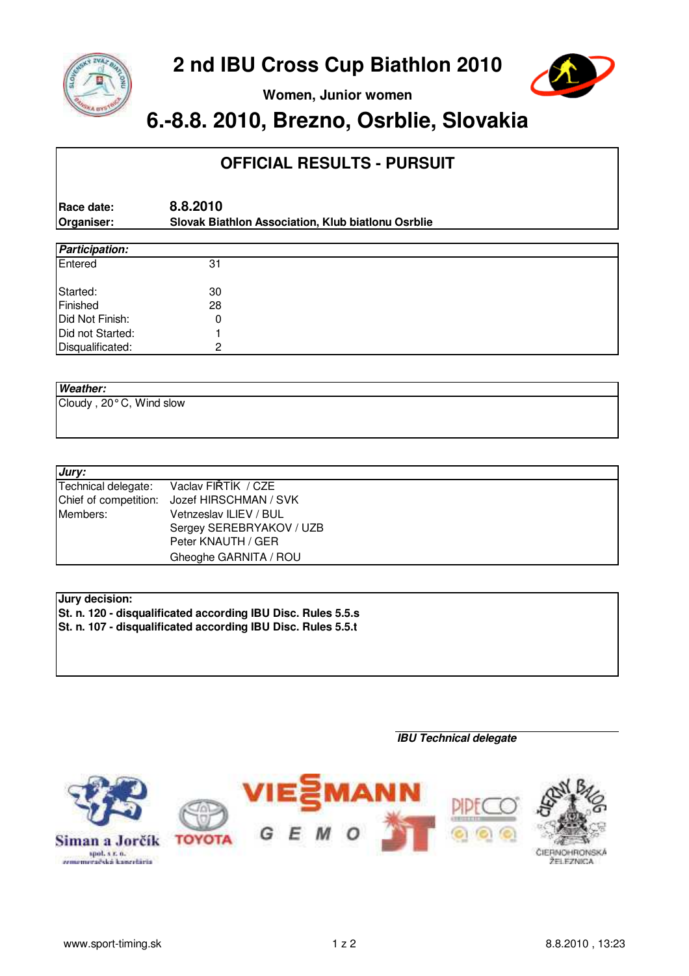



**Women, Junior women**

## **6.-8.8. 2010, Brezno, Osrblie, Slovakia**

### **OFFICIAL RESULTS - PURSUIT**

**Race date: 8.8.2010 Organiser: Slovak Biathlon Association, Klub biatlonu Osrblie**

| <b>Participation:</b> |    |  |  |  |  |  |  |
|-----------------------|----|--|--|--|--|--|--|
| Entered               | 31 |  |  |  |  |  |  |
| Started:              | 30 |  |  |  |  |  |  |
| Finished              | 28 |  |  |  |  |  |  |
| Did Not Finish:       |    |  |  |  |  |  |  |
| Did not Started:      |    |  |  |  |  |  |  |
| Disqualificated:      | ⌒  |  |  |  |  |  |  |

### **Weather:**

Cloudy , 20° C, Wind slow

| Jury:               |                                             |
|---------------------|---------------------------------------------|
| Technical delegate: | Vaclav FIRTIK / CZE                         |
|                     | Chief of competition: Jozef HIRSCHMAN / SVK |
| Members:            | Vetnzeslav ILIEV / BUL                      |
|                     | Sergey SEREBRYAKOV / UZB                    |
|                     | Peter KNAUTH / GER                          |
|                     | Gheoghe GARNITA / ROU                       |

### **Jury decision:**

**St. n. 120 - disqualificated according IBU Disc. Rules 5.5.s St. n. 107 - disqualificated according IBU Disc. Rules 5.5.t**